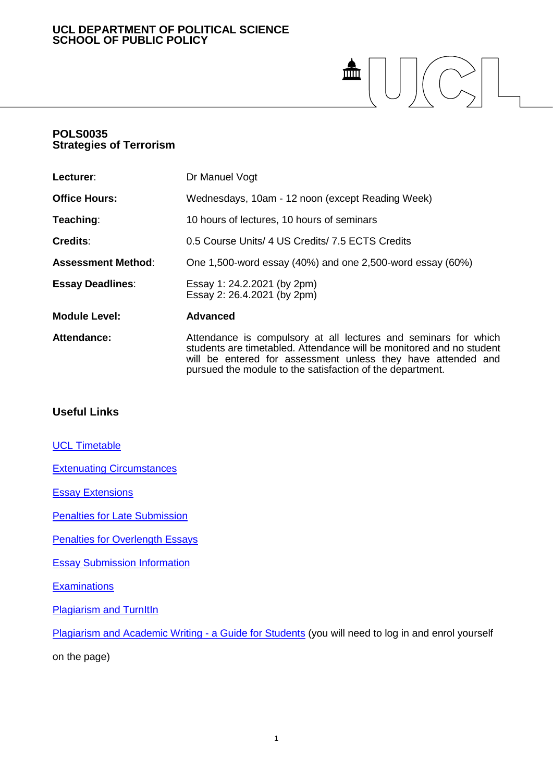# **UCL DEPARTMENT OF POLITICAL SCIENCE SCHOOL OF PUBLIC POLICY**

# $\begin{picture}(20,5) \put(0,0){\line(1,0){155}} \put(15,0){\line(1,0){155}} \put(15,0){\line(1,0){155}} \put(15,0){\line(1,0){155}} \put(15,0){\line(1,0){155}} \put(15,0){\line(1,0){155}} \put(15,0){\line(1,0){155}} \put(15,0){\line(1,0){155}} \put(15,0){\line(1,0){155}} \put(15,0){\line(1,0){155}} \put(15,0){\line(1,0){155}} \put$

# **POLS0035 Strategies of Terrorism**

| Lecturer:                 | Dr Manuel Vogt                                                                                                                                                                                                                                                       |
|---------------------------|----------------------------------------------------------------------------------------------------------------------------------------------------------------------------------------------------------------------------------------------------------------------|
| <b>Office Hours:</b>      | Wednesdays, 10am - 12 noon (except Reading Week)                                                                                                                                                                                                                     |
| Teaching:                 | 10 hours of lectures, 10 hours of seminars                                                                                                                                                                                                                           |
| <b>Credits:</b>           | 0.5 Course Units/ 4 US Credits/ 7.5 ECTS Credits                                                                                                                                                                                                                     |
| <b>Assessment Method:</b> | One 1,500-word essay (40%) and one 2,500-word essay (60%)                                                                                                                                                                                                            |
| <b>Essay Deadlines:</b>   | Essay 1: 24.2.2021 (by 2pm)<br>Essay 2: 26.4.2021 (by 2pm)                                                                                                                                                                                                           |
| <b>Module Level:</b>      | <b>Advanced</b>                                                                                                                                                                                                                                                      |
| Attendance:               | Attendance is compulsory at all lectures and seminars for which<br>students are timetabled. Attendance will be monitored and no student<br>will be entered for assessment unless they have attended and<br>pursued the module to the satisfaction of the department. |

# **Useful Links**

**[UCL Timetable](https://timetable.ucl.ac.uk/tt/homePage.do)** 

[Extenuating Circumstances](https://www.ucl.ac.uk/academic-manual/chapters/chapter-4-assessment-framework-taught-programmes/section-6-extenuating-circumstances)

[Essay Extensions](https://www.ucl.ac.uk/academic-manual/chapters/chapter-4-assessment-framework-taught-programmes/section-6-extenuating-circumstances#6.2)

[Penalties for Late Submission](https://www.ucl.ac.uk/academic-manual/chapters/chapter-4-assessment-framework-taught-programmes/section-3-module-assessment#3.12)

**[Penalties for Overlength Essays](https://moodle-1819.ucl.ac.uk/course/view.php?id=12189)** 

[Essay Submission Information](https://moodle-1819.ucl.ac.uk/course/view.php?id=12189)

**[Examinations](https://www.ucl.ac.uk/students/exams-and-assessments)** 

**[Plagiarism and TurnItIn](https://www.ucl.ac.uk/students/exams-and-assessments/plagiarism)** 

[Plagiarism and Academic Writing -](https://moodle-1819.ucl.ac.uk/course/view.php?id=34) a Guide for Students (you will need to log in and enrol yourself

on the page)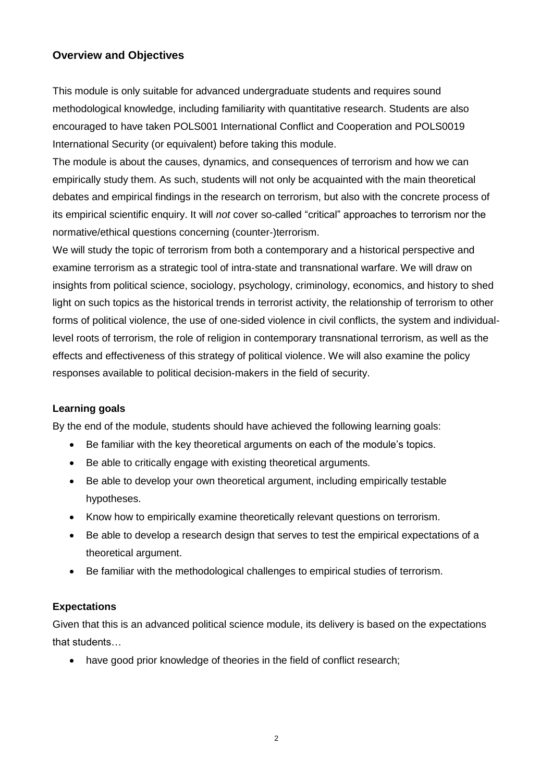# **Overview and Objectives**

This module is only suitable for advanced undergraduate students and requires sound methodological knowledge, including familiarity with quantitative research. Students are also encouraged to have taken POLS001 International Conflict and Cooperation and POLS0019 International Security (or equivalent) before taking this module.

The module is about the causes, dynamics, and consequences of terrorism and how we can empirically study them. As such, students will not only be acquainted with the main theoretical debates and empirical findings in the research on terrorism, but also with the concrete process of its empirical scientific enquiry. It will *not* cover so-called "critical" approaches to terrorism nor the normative/ethical questions concerning (counter-)terrorism.

We will study the topic of terrorism from both a contemporary and a historical perspective and examine terrorism as a strategic tool of intra-state and transnational warfare. We will draw on insights from political science, sociology, psychology, criminology, economics, and history to shed light on such topics as the historical trends in terrorist activity, the relationship of terrorism to other forms of political violence, the use of one-sided violence in civil conflicts, the system and individuallevel roots of terrorism, the role of religion in contemporary transnational terrorism, as well as the effects and effectiveness of this strategy of political violence. We will also examine the policy responses available to political decision-makers in the field of security.

# **Learning goals**

By the end of the module, students should have achieved the following learning goals:

- Be familiar with the key theoretical arguments on each of the module's topics.
- Be able to critically engage with existing theoretical arguments.
- Be able to develop your own theoretical argument, including empirically testable hypotheses.
- Know how to empirically examine theoretically relevant questions on terrorism.
- Be able to develop a research design that serves to test the empirical expectations of a theoretical argument.
- Be familiar with the methodological challenges to empirical studies of terrorism.

# **Expectations**

Given that this is an advanced political science module, its delivery is based on the expectations that students…

have good prior knowledge of theories in the field of conflict research;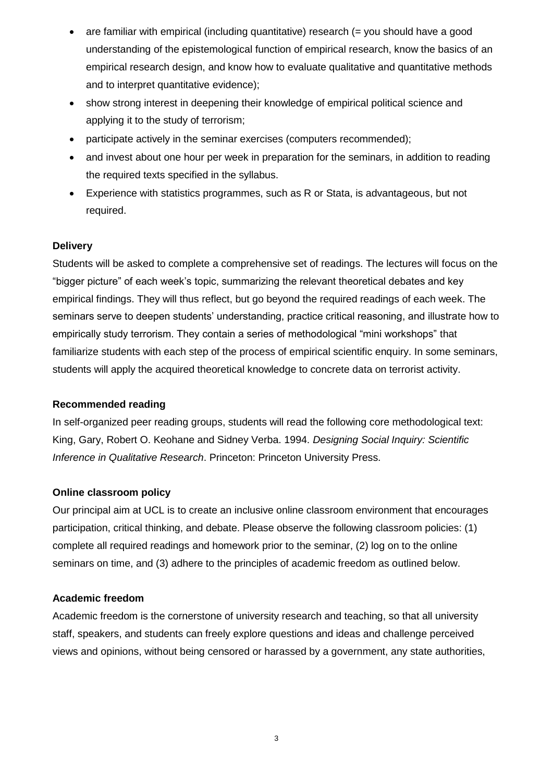- $\bullet$  are familiar with empirical (including quantitative) research (= you should have a good understanding of the epistemological function of empirical research, know the basics of an empirical research design, and know how to evaluate qualitative and quantitative methods and to interpret quantitative evidence);
- show strong interest in deepening their knowledge of empirical political science and applying it to the study of terrorism;
- participate actively in the seminar exercises (computers recommended);
- and invest about one hour per week in preparation for the seminars, in addition to reading the required texts specified in the syllabus.
- Experience with statistics programmes, such as R or Stata, is advantageous, but not required.

# **Delivery**

Students will be asked to complete a comprehensive set of readings. The lectures will focus on the "bigger picture" of each week's topic, summarizing the relevant theoretical debates and key empirical findings. They will thus reflect, but go beyond the required readings of each week. The seminars serve to deepen students' understanding, practice critical reasoning, and illustrate how to empirically study terrorism. They contain a series of methodological "mini workshops" that familiarize students with each step of the process of empirical scientific enquiry. In some seminars, students will apply the acquired theoretical knowledge to concrete data on terrorist activity.

# **Recommended reading**

In self-organized peer reading groups, students will read the following core methodological text: King, Gary, Robert O. Keohane and Sidney Verba. 1994. *Designing Social Inquiry: Scientific Inference in Qualitative Research*. Princeton: Princeton University Press.

# **Online classroom policy**

Our principal aim at UCL is to create an inclusive online classroom environment that encourages participation, critical thinking, and debate. Please observe the following classroom policies: (1) complete all required readings and homework prior to the seminar, (2) log on to the online seminars on time, and (3) adhere to the principles of academic freedom as outlined below.

# **Academic freedom**

Academic freedom is the cornerstone of university research and teaching, so that all university staff, speakers, and students can freely explore questions and ideas and challenge perceived views and opinions, without being censored or harassed by a government, any state authorities,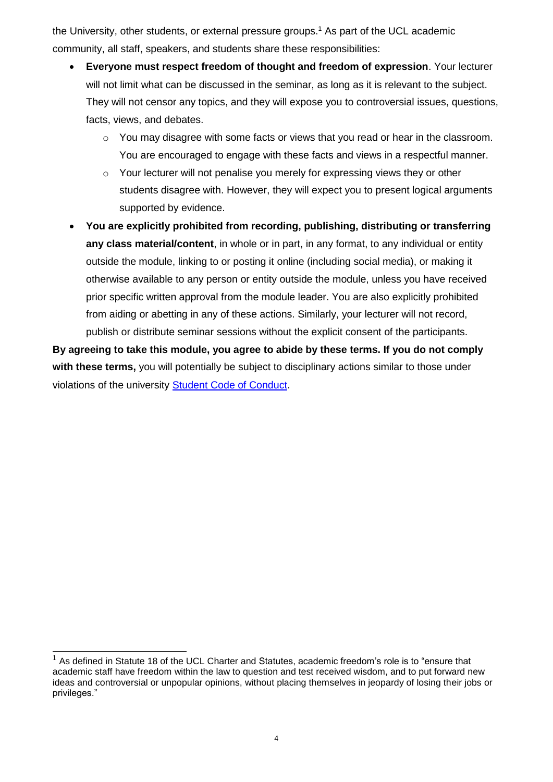the University, other students, or external pressure groups.<sup>1</sup> As part of the UCL academic community, all staff, speakers, and students share these responsibilities:

- **Everyone must respect freedom of thought and freedom of expression**. Your lecturer will not limit what can be discussed in the seminar, as long as it is relevant to the subject. They will not censor any topics, and they will expose you to controversial issues, questions, facts, views, and debates.
	- o You may disagree with some facts or views that you read or hear in the classroom. You are encouraged to engage with these facts and views in a respectful manner.
	- $\circ$  Your lecturer will not penalise you merely for expressing views they or other students disagree with. However, they will expect you to present logical arguments supported by evidence.
- **You are explicitly prohibited from recording, publishing, distributing or transferring any class material/content**, in whole or in part, in any format, to any individual or entity outside the module, linking to or posting it online (including social media), or making it otherwise available to any person or entity outside the module, unless you have received prior specific written approval from the module leader. You are also explicitly prohibited from aiding or abetting in any of these actions. Similarly, your lecturer will not record, publish or distribute seminar sessions without the explicit consent of the participants.

**By agreeing to take this module, you agree to abide by these terms. If you do not comply with these terms,** you will potentially be subject to disciplinary actions similar to those under violations of the university [Student Code of Conduct.](https://www.ucl.ac.uk/academic-manual/sites/academic-manual/files/chapter_6_student_casework_framework_2020-21.pdf)

 $\overline{a}$  $1$  As defined in Statute 18 of the UCL Charter and Statutes, academic freedom's role is to "ensure that academic staff have freedom within the law to question and test received wisdom, and to put forward new ideas and controversial or unpopular opinions, without placing themselves in jeopardy of losing their jobs or privileges."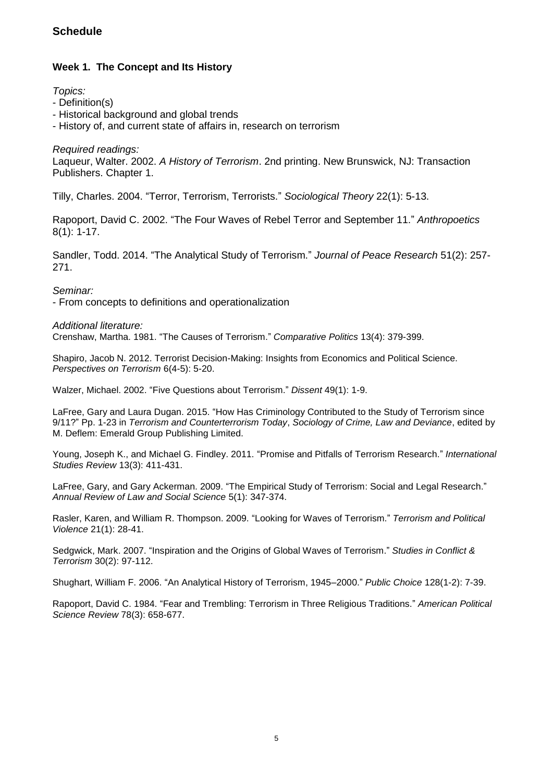# **Schedule**

# **Week 1. The Concept and Its History**

*Topics:*

- Definition(s)
- Historical background and global trends
- History of, and current state of affairs in, research on terrorism

*Required readings:*

Laqueur, Walter. 2002. *A History of Terrorism*. 2nd printing. New Brunswick, NJ: Transaction Publishers. Chapter 1.

Tilly, Charles. 2004. "Terror, Terrorism, Terrorists." *Sociological Theory* 22(1): 5-13.

Rapoport, David C. 2002. "The Four Waves of Rebel Terror and September 11." *Anthropoetics* 8(1): 1-17.

Sandler, Todd. 2014. "The Analytical Study of Terrorism." *Journal of Peace Research* 51(2): 257- 271.

*Seminar:*

- From concepts to definitions and operationalization

*Additional literature:*

Crenshaw, Martha. 1981. "The Causes of Terrorism." *Comparative Politics* 13(4): 379-399.

Shapiro, Jacob N. 2012. Terrorist Decision-Making: Insights from Economics and Political Science. *Perspectives on Terrorism* 6(4-5): 5-20.

Walzer, Michael. 2002. "Five Questions about Terrorism." *Dissent* 49(1): 1-9.

LaFree, Gary and Laura Dugan. 2015. "How Has Criminology Contributed to the Study of Terrorism since 9/11?" Pp. 1-23 in *Terrorism and Counterterrorism Today*, *Sociology of Crime, Law and Deviance*, edited by M. Deflem: Emerald Group Publishing Limited.

Young, Joseph K., and Michael G. Findley. 2011. "Promise and Pitfalls of Terrorism Research." *International Studies Review* 13(3): 411-431.

LaFree, Gary, and Gary Ackerman. 2009. "The Empirical Study of Terrorism: Social and Legal Research." *Annual Review of Law and Social Science* 5(1): 347-374.

Rasler, Karen, and William R. Thompson. 2009. "Looking for Waves of Terrorism." *Terrorism and Political Violence* 21(1): 28-41.

Sedgwick, Mark. 2007. "Inspiration and the Origins of Global Waves of Terrorism." *Studies in Conflict & Terrorism* 30(2): 97-112.

Shughart, William F. 2006. "An Analytical History of Terrorism, 1945–2000." *Public Choice* 128(1-2): 7-39.

Rapoport, David C. 1984. "Fear and Trembling: Terrorism in Three Religious Traditions." *American Political Science Review* 78(3): 658-677.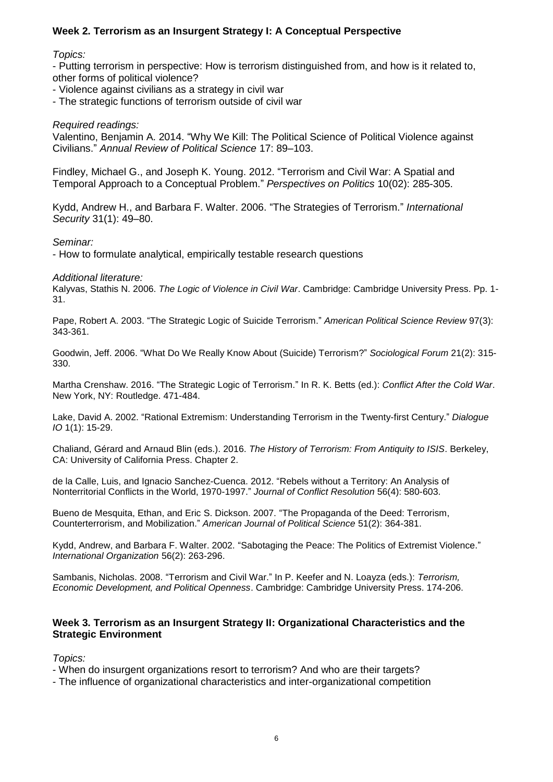# **Week 2. Terrorism as an Insurgent Strategy I: A Conceptual Perspective**

# *Topics:*

- Putting terrorism in perspective: How is terrorism distinguished from, and how is it related to, other forms of political violence?

- Violence against civilians as a strategy in civil war
- The strategic functions of terrorism outside of civil war

# *Required readings:*

Valentino, Benjamin A. 2014. "Why We Kill: The Political Science of Political Violence against Civilians." *Annual Review of Political Science* 17: 89–103.

Findley, Michael G., and Joseph K. Young. 2012. "Terrorism and Civil War: A Spatial and Temporal Approach to a Conceptual Problem." *Perspectives on Politics* 10(02): 285-305.

Kydd, Andrew H., and Barbara F. Walter. 2006. "The Strategies of Terrorism." *International Security* 31(1): 49–80.

# *Seminar:*

- How to formulate analytical, empirically testable research questions

## *Additional literature:*

Kalyvas, Stathis N. 2006. *The Logic of Violence in Civil War*. Cambridge: Cambridge University Press. Pp. 1- 31.

Pape, Robert A. 2003. "The Strategic Logic of Suicide Terrorism." *American Political Science Review* 97(3): 343-361.

Goodwin, Jeff. 2006. "What Do We Really Know About (Suicide) Terrorism?" *Sociological Forum* 21(2): 315- 330.

Martha Crenshaw. 2016. "The Strategic Logic of Terrorism." In R. K. Betts (ed.): *Conflict After the Cold War*. New York, NY: Routledge. 471-484.

Lake, David A. 2002. "Rational Extremism: Understanding Terrorism in the Twenty-first Century." *Dialogue IO* 1(1): 15-29.

Chaliand, Gérard and Arnaud Blin (eds.). 2016. *The History of Terrorism: From Antiquity to ISIS*. Berkeley, CA: University of California Press. Chapter 2.

de la Calle, Luis, and Ignacio Sanchez-Cuenca. 2012. "Rebels without a Territory: An Analysis of Nonterritorial Conflicts in the World, 1970-1997." *Journal of Conflict Resolution* 56(4): 580-603.

Bueno de Mesquita, Ethan, and Eric S. Dickson. 2007. "The Propaganda of the Deed: Terrorism, Counterterrorism, and Mobilization." *American Journal of Political Science* 51(2): 364-381.

Kydd, Andrew, and Barbara F. Walter. 2002. "Sabotaging the Peace: The Politics of Extremist Violence." *International Organization* 56(2): 263-296.

Sambanis, Nicholas. 2008. "Terrorism and Civil War." In P. Keefer and N. Loayza (eds.): *Terrorism, Economic Development, and Political Openness*. Cambridge: Cambridge University Press. 174-206.

# **Week 3. Terrorism as an Insurgent Strategy II: Organizational Characteristics and the Strategic Environment**

*Topics:*

- When do insurgent organizations resort to terrorism? And who are their targets?
- The influence of organizational characteristics and inter-organizational competition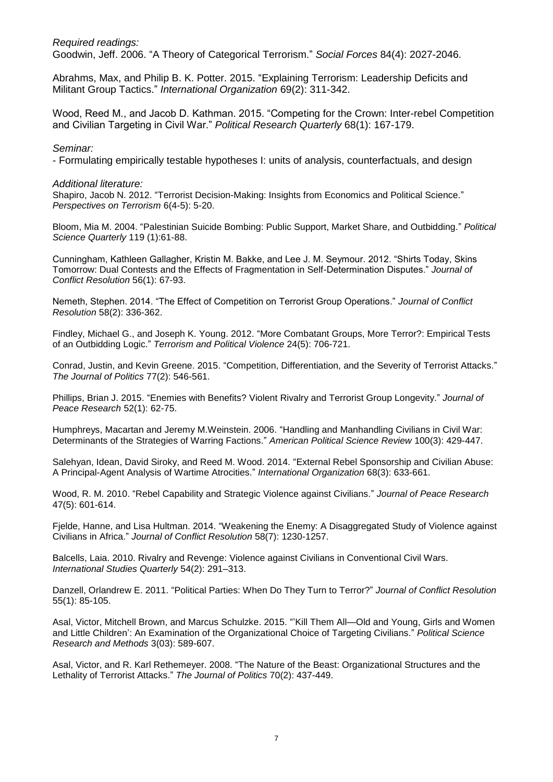*Required readings:* Goodwin, Jeff. 2006. "A Theory of Categorical Terrorism." *Social Forces* 84(4): 2027-2046.

Abrahms, Max, and Philip B. K. Potter. 2015. "Explaining Terrorism: Leadership Deficits and Militant Group Tactics." *International Organization* 69(2): 311-342.

Wood, Reed M., and Jacob D. Kathman. 2015. "Competing for the Crown: Inter-rebel Competition and Civilian Targeting in Civil War." *Political Research Quarterly* 68(1): 167-179.

#### *Seminar:*

- Formulating empirically testable hypotheses I: units of analysis, counterfactuals, and design

#### *Additional literature:*

Shapiro, Jacob N. 2012. "Terrorist Decision-Making: Insights from Economics and Political Science." *Perspectives on Terrorism* 6(4-5): 5-20.

Bloom, Mia M. 2004. "Palestinian Suicide Bombing: Public Support, Market Share, and Outbidding." *Political Science Quarterly* 119 (1):61-88.

Cunningham, Kathleen Gallagher, Kristin M. Bakke, and Lee J. M. Seymour. 2012. "Shirts Today, Skins Tomorrow: Dual Contests and the Effects of Fragmentation in Self-Determination Disputes." *Journal of Conflict Resolution* 56(1): 67-93.

Nemeth, Stephen. 2014. "The Effect of Competition on Terrorist Group Operations." *Journal of Conflict Resolution* 58(2): 336-362.

Findley, Michael G., and Joseph K. Young. 2012. "More Combatant Groups, More Terror?: Empirical Tests of an Outbidding Logic." *Terrorism and Political Violence* 24(5): 706-721.

Conrad, Justin, and Kevin Greene. 2015. "Competition, Differentiation, and the Severity of Terrorist Attacks." *The Journal of Politics* 77(2): 546-561.

Phillips, Brian J. 2015. "Enemies with Benefits? Violent Rivalry and Terrorist Group Longevity." *Journal of Peace Research* 52(1): 62-75.

Humphreys, Macartan and Jeremy M.Weinstein. 2006. "Handling and Manhandling Civilians in Civil War: Determinants of the Strategies of Warring Factions." *American Political Science Review* 100(3): 429-447.

Salehyan, Idean, David Siroky, and Reed M. Wood. 2014. "External Rebel Sponsorship and Civilian Abuse: A Principal-Agent Analysis of Wartime Atrocities." *International Organization* 68(3): 633-661.

Wood, R. M. 2010. "Rebel Capability and Strategic Violence against Civilians." *Journal of Peace Research* 47(5): 601-614.

Fjelde, Hanne, and Lisa Hultman. 2014. "Weakening the Enemy: A Disaggregated Study of Violence against Civilians in Africa." *Journal of Conflict Resolution* 58(7): 1230-1257.

Balcells, Laia. 2010. Rivalry and Revenge: Violence against Civilians in Conventional Civil Wars. *International Studies Quarterly* 54(2): 291–313.

Danzell, Orlandrew E. 2011. "Political Parties: When Do They Turn to Terror?" *Journal of Conflict Resolution* 55(1): 85-105.

Asal, Victor, Mitchell Brown, and Marcus Schulzke. 2015. "'Kill Them All—Old and Young, Girls and Women and Little Children': An Examination of the Organizational Choice of Targeting Civilians." *Political Science Research and Methods* 3(03): 589-607.

Asal, Victor, and R. Karl Rethemeyer. 2008. "The Nature of the Beast: Organizational Structures and the Lethality of Terrorist Attacks." *The Journal of Politics* 70(2): 437-449.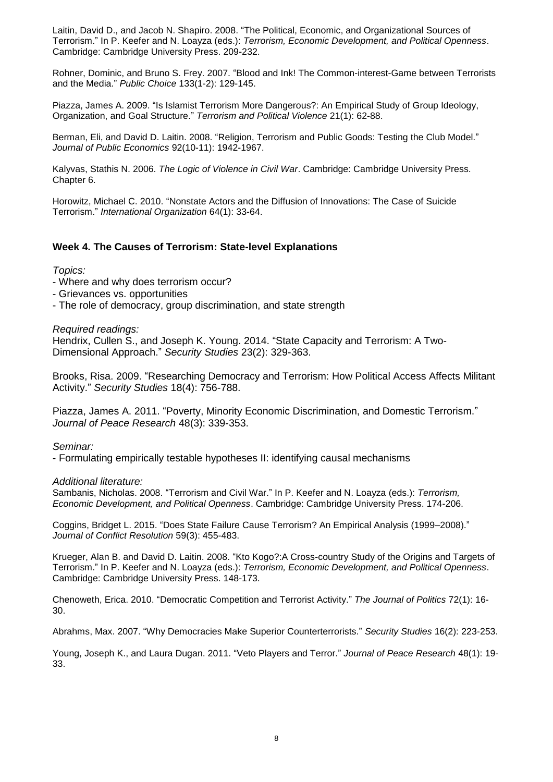Laitin, David D., and Jacob N. Shapiro. 2008. "The Political, Economic, and Organizational Sources of Terrorism." In P. Keefer and N. Loayza (eds.): *Terrorism, Economic Development, and Political Openness*. Cambridge: Cambridge University Press. 209-232.

Rohner, Dominic, and Bruno S. Frey. 2007. "Blood and Ink! The Common-interest-Game between Terrorists and the Media." *Public Choice* 133(1-2): 129-145.

Piazza, James A. 2009. "Is Islamist Terrorism More Dangerous?: An Empirical Study of Group Ideology, Organization, and Goal Structure." *Terrorism and Political Violence* 21(1): 62-88.

Berman, Eli, and David D. Laitin. 2008. "Religion, Terrorism and Public Goods: Testing the Club Model." *Journal of Public Economics* 92(10-11): 1942-1967.

Kalyvas, Stathis N. 2006. *The Logic of Violence in Civil War*. Cambridge: Cambridge University Press. Chapter 6.

Horowitz, Michael C. 2010. "Nonstate Actors and the Diffusion of Innovations: The Case of Suicide Terrorism." *International Organization* 64(1): 33-64.

## **Week 4. The Causes of Terrorism: State-level Explanations**

#### *Topics:*

- Where and why does terrorism occur?
- Grievances vs. opportunities
- The role of democracy, group discrimination, and state strength

*Required readings:*

Hendrix, Cullen S., and Joseph K. Young. 2014. "State Capacity and Terrorism: A Two-Dimensional Approach." *Security Studies* 23(2): 329-363.

Brooks, Risa. 2009. "Researching Democracy and Terrorism: How Political Access Affects Militant Activity." *Security Studies* 18(4): 756-788.

Piazza, James A. 2011. "Poverty, Minority Economic Discrimination, and Domestic Terrorism." *Journal of Peace Research* 48(3): 339-353.

*Seminar:*

- Formulating empirically testable hypotheses II: identifying causal mechanisms

*Additional literature:*

Sambanis, Nicholas. 2008. "Terrorism and Civil War." In P. Keefer and N. Loayza (eds.): *Terrorism, Economic Development, and Political Openness*. Cambridge: Cambridge University Press. 174-206.

Coggins, Bridget L. 2015. "Does State Failure Cause Terrorism? An Empirical Analysis (1999–2008)." *Journal of Conflict Resolution* 59(3): 455-483.

Krueger, Alan B. and David D. Laitin. 2008. "Kto Kogo?:A Cross-country Study of the Origins and Targets of Terrorism." In P. Keefer and N. Loayza (eds.): *Terrorism, Economic Development, and Political Openness*. Cambridge: Cambridge University Press. 148-173.

Chenoweth, Erica. 2010. "Democratic Competition and Terrorist Activity." *The Journal of Politics* 72(1): 16- 30.

Abrahms, Max. 2007. "Why Democracies Make Superior Counterterrorists." *Security Studies* 16(2): 223-253.

Young, Joseph K., and Laura Dugan. 2011. "Veto Players and Terror." *Journal of Peace Research* 48(1): 19- 33.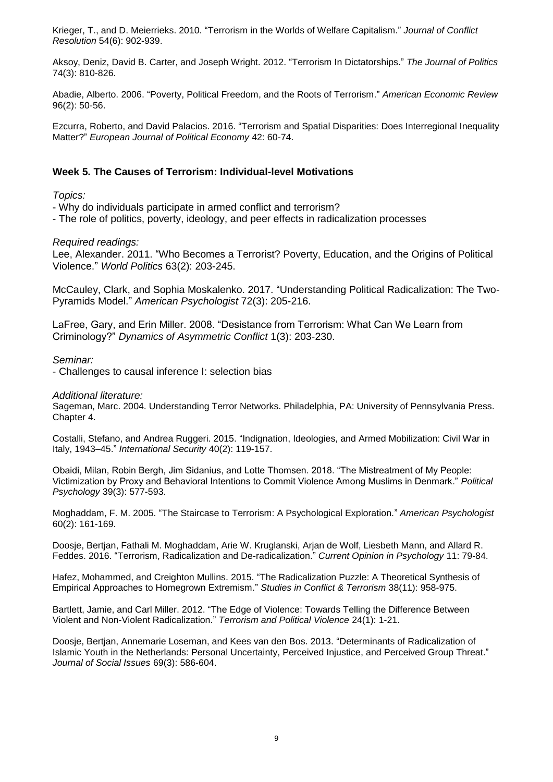Krieger, T., and D. Meierrieks. 2010. "Terrorism in the Worlds of Welfare Capitalism." *Journal of Conflict Resolution* 54(6): 902-939.

Aksoy, Deniz, David B. Carter, and Joseph Wright. 2012. "Terrorism In Dictatorships." *The Journal of Politics* 74(3): 810-826.

Abadie, Alberto. 2006. "Poverty, Political Freedom, and the Roots of Terrorism." *American Economic Review* 96(2): 50-56.

Ezcurra, Roberto, and David Palacios. 2016. "Terrorism and Spatial Disparities: Does Interregional Inequality Matter?" *European Journal of Political Economy* 42: 60-74.

# **Week 5. The Causes of Terrorism: Individual-level Motivations**

*Topics:*

- Why do individuals participate in armed conflict and terrorism?

- The role of politics, poverty, ideology, and peer effects in radicalization processes

*Required readings:*

Lee, Alexander. 2011. "Who Becomes a Terrorist? Poverty, Education, and the Origins of Political Violence." *World Politics* 63(2): 203-245.

McCauley, Clark, and Sophia Moskalenko. 2017. "Understanding Political Radicalization: The Two-Pyramids Model." *American Psychologist* 72(3): 205-216.

LaFree, Gary, and Erin Miller. 2008. "Desistance from Terrorism: What Can We Learn from Criminology?" *Dynamics of Asymmetric Conflict* 1(3): 203-230.

*Seminar:*

- Challenges to causal inference I: selection bias

*Additional literature:*

Sageman, Marc. 2004. Understanding Terror Networks. Philadelphia, PA: University of Pennsylvania Press. Chapter 4.

Costalli, Stefano, and Andrea Ruggeri. 2015. "Indignation, Ideologies, and Armed Mobilization: Civil War in Italy, 1943–45." *International Security* 40(2): 119-157.

Obaidi, Milan, Robin Bergh, Jim Sidanius, and Lotte Thomsen. 2018. "The Mistreatment of My People: Victimization by Proxy and Behavioral Intentions to Commit Violence Among Muslims in Denmark." *Political Psychology* 39(3): 577-593.

Moghaddam, F. M. 2005. "The Staircase to Terrorism: A Psychological Exploration." *American Psychologist* 60(2): 161-169.

Doosje, Bertjan, Fathali M. Moghaddam, Arie W. Kruglanski, Arjan de Wolf, Liesbeth Mann, and Allard R. Feddes. 2016. "Terrorism, Radicalization and De-radicalization." *Current Opinion in Psychology* 11: 79-84.

Hafez, Mohammed, and Creighton Mullins. 2015. "The Radicalization Puzzle: A Theoretical Synthesis of Empirical Approaches to Homegrown Extremism." *Studies in Conflict & Terrorism* 38(11): 958-975.

Bartlett, Jamie, and Carl Miller. 2012. "The Edge of Violence: Towards Telling the Difference Between Violent and Non-Violent Radicalization." *Terrorism and Political Violence* 24(1): 1-21.

Doosje, Bertjan, Annemarie Loseman, and Kees van den Bos. 2013. "Determinants of Radicalization of Islamic Youth in the Netherlands: Personal Uncertainty, Perceived Injustice, and Perceived Group Threat." *Journal of Social Issues* 69(3): 586-604.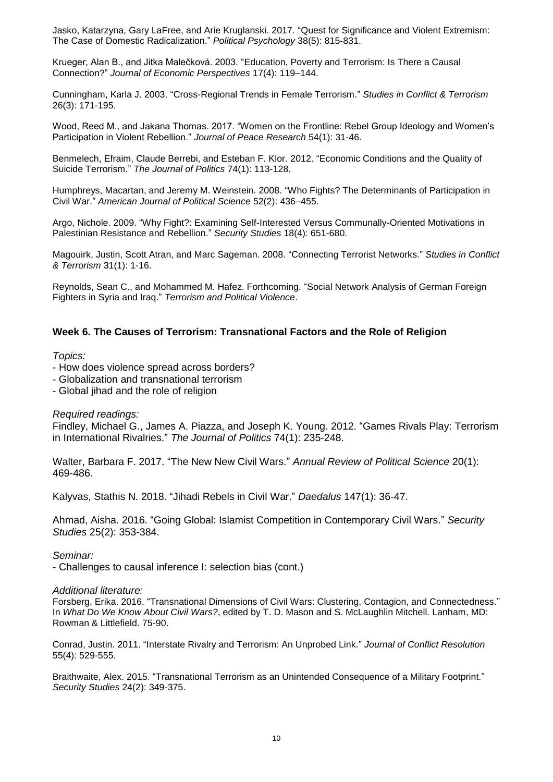Jasko, Katarzyna, Gary LaFree, and Arie Kruglanski. 2017. "Quest for Significance and Violent Extremism: The Case of Domestic Radicalization." *Political Psychology* 38(5): 815-831.

Krueger, Alan B., and Jitka Malečková. 2003. "Education, Poverty and Terrorism: Is There a Causal Connection?" *Journal of Economic Perspectives* 17(4): 119–144.

Cunningham, Karla J. 2003. "Cross-Regional Trends in Female Terrorism." *Studies in Conflict & Terrorism* 26(3): 171-195.

Wood, Reed M., and Jakana Thomas. 2017. "Women on the Frontline: Rebel Group Ideology and Women's Participation in Violent Rebellion." *Journal of Peace Research* 54(1): 31-46.

Benmelech, Efraim, Claude Berrebi, and Esteban F. Klor. 2012. "Economic Conditions and the Quality of Suicide Terrorism." *The Journal of Politics* 74(1): 113-128.

Humphreys, Macartan, and Jeremy M. Weinstein. 2008. "Who Fights? The Determinants of Participation in Civil War." *American Journal of Political Science* 52(2): 436–455.

Argo, Nichole. 2009. "Why Fight?: Examining Self-Interested Versus Communally-Oriented Motivations in Palestinian Resistance and Rebellion." *Security Studies* 18(4): 651-680.

Magouirk, Justin, Scott Atran, and Marc Sageman. 2008. "Connecting Terrorist Networks." *Studies in Conflict & Terrorism* 31(1): 1-16.

Reynolds, Sean C., and Mohammed M. Hafez. Forthcoming. "Social Network Analysis of German Foreign Fighters in Syria and Iraq." *Terrorism and Political Violence*.

## **Week 6. The Causes of Terrorism: Transnational Factors and the Role of Religion**

*Topics:*

- How does violence spread across borders?
- Globalization and transnational terrorism
- Global jihad and the role of religion

#### *Required readings:*

Findley, Michael G., James A. Piazza, and Joseph K. Young. 2012. "Games Rivals Play: Terrorism in International Rivalries." *The Journal of Politics* 74(1): 235-248.

Walter, Barbara F. 2017. "The New New Civil Wars." *Annual Review of Political Science* 20(1): 469-486.

Kalyvas, Stathis N. 2018. "Jihadi Rebels in Civil War." *Daedalus* 147(1): 36-47.

Ahmad, Aisha. 2016. "Going Global: Islamist Competition in Contemporary Civil Wars." *Security Studies* 25(2): 353-384.

*Seminar:*

- Challenges to causal inference I: selection bias (cont.)

#### *Additional literature:*

Forsberg, Erika. 2016. "Transnational Dimensions of Civil Wars: Clustering, Contagion, and Connectedness." In *What Do We Know About Civil Wars?*, edited by T. D. Mason and S. McLaughlin Mitchell. Lanham, MD: Rowman & Littlefield. 75-90.

Conrad, Justin. 2011. "Interstate Rivalry and Terrorism: An Unprobed Link." *Journal of Conflict Resolution* 55(4): 529-555.

Braithwaite, Alex. 2015. "Transnational Terrorism as an Unintended Consequence of a Military Footprint." *Security Studies* 24(2): 349-375.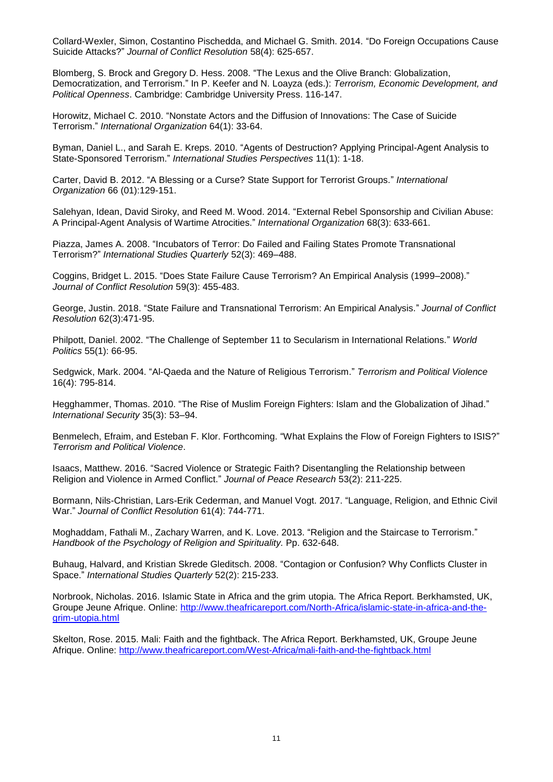Collard-Wexler, Simon, Costantino Pischedda, and Michael G. Smith. 2014. "Do Foreign Occupations Cause Suicide Attacks?" *Journal of Conflict Resolution* 58(4): 625-657.

Blomberg, S. Brock and Gregory D. Hess. 2008. "The Lexus and the Olive Branch: Globalization, Democratization, and Terrorism." In P. Keefer and N. Loayza (eds.): *Terrorism, Economic Development, and Political Openness*. Cambridge: Cambridge University Press. 116-147.

Horowitz, Michael C. 2010. "Nonstate Actors and the Diffusion of Innovations: The Case of Suicide Terrorism." *International Organization* 64(1): 33-64.

Byman, Daniel L., and Sarah E. Kreps. 2010. "Agents of Destruction? Applying Principal-Agent Analysis to State-Sponsored Terrorism." *International Studies Perspectives* 11(1): 1-18.

Carter, David B. 2012. "A Blessing or a Curse? State Support for Terrorist Groups." *International Organization* 66 (01):129-151.

Salehyan, Idean, David Siroky, and Reed M. Wood. 2014. "External Rebel Sponsorship and Civilian Abuse: A Principal-Agent Analysis of Wartime Atrocities." *International Organization* 68(3): 633-661.

Piazza, James A. 2008. "Incubators of Terror: Do Failed and Failing States Promote Transnational Terrorism?" *International Studies Quarterly* 52(3): 469–488.

Coggins, Bridget L. 2015. "Does State Failure Cause Terrorism? An Empirical Analysis (1999–2008)." *Journal of Conflict Resolution* 59(3): 455-483.

George, Justin. 2018. "State Failure and Transnational Terrorism: An Empirical Analysis." *Journal of Conflict Resolution* 62(3):471-95.

Philpott, Daniel. 2002. "The Challenge of September 11 to Secularism in International Relations." *World Politics* 55(1): 66-95.

Sedgwick, Mark. 2004. "Al-Qaeda and the Nature of Religious Terrorism." *Terrorism and Political Violence* 16(4): 795-814.

Hegghammer, Thomas. 2010. "The Rise of Muslim Foreign Fighters: Islam and the Globalization of Jihad." *International Security* 35(3): 53–94.

Benmelech, Efraim, and Esteban F. Klor. Forthcoming. "What Explains the Flow of Foreign Fighters to ISIS?" *Terrorism and Political Violence*.

Isaacs, Matthew. 2016. "Sacred Violence or Strategic Faith? Disentangling the Relationship between Religion and Violence in Armed Conflict." *Journal of Peace Research* 53(2): 211-225.

Bormann, Nils-Christian, Lars-Erik Cederman, and Manuel Vogt. 2017. "Language, Religion, and Ethnic Civil War." *Journal of Conflict Resolution* 61(4): 744-771.

Moghaddam, Fathali M., Zachary Warren, and K. Love. 2013. "Religion and the Staircase to Terrorism." *Handbook of the Psychology of Religion and Spirituality.* Pp. 632-648.

Buhaug, Halvard, and Kristian Skrede Gleditsch. 2008. "Contagion or Confusion? Why Conflicts Cluster in Space." *International Studies Quarterly* 52(2): 215-233.

Norbrook, Nicholas. 2016. Islamic State in Africa and the grim utopia. The Africa Report. Berkhamsted, UK, Groupe Jeune Afrique. Online: [http://www.theafricareport.com/North-Africa/islamic-state-in-africa-and-the](http://www.theafricareport.com/North-Africa/islamic-state-in-africa-and-the-grim-utopia.html)[grim-utopia.html](http://www.theafricareport.com/North-Africa/islamic-state-in-africa-and-the-grim-utopia.html)

Skelton, Rose. 2015. Mali: Faith and the fightback. The Africa Report. Berkhamsted, UK, Groupe Jeune Afrique. Online:<http://www.theafricareport.com/West-Africa/mali-faith-and-the-fightback.html>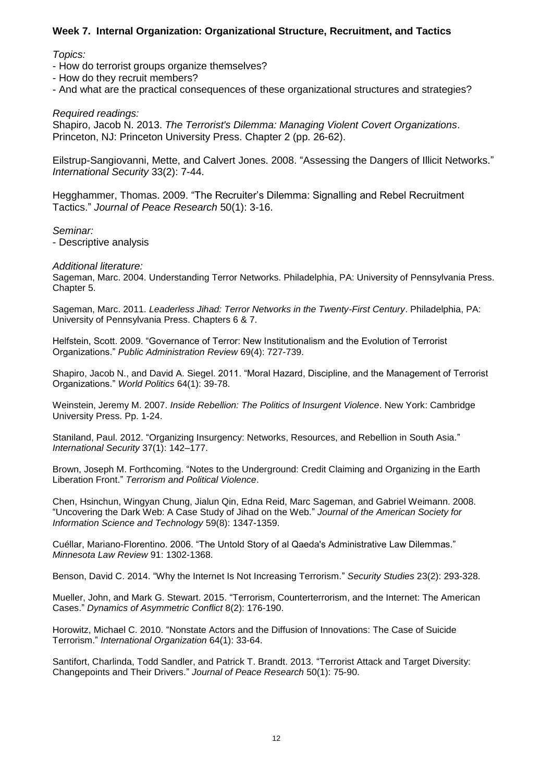# **Week 7. Internal Organization: Organizational Structure, Recruitment, and Tactics**

## *Topics:*

- How do terrorist groups organize themselves?
- How do they recruit members?
- And what are the practical consequences of these organizational structures and strategies?

*Required readings:*

Shapiro, Jacob N. 2013. *The Terrorist's Dilemma: Managing Violent Covert Organizations*. Princeton, NJ: Princeton University Press. Chapter 2 (pp. 26-62).

Eilstrup-Sangiovanni, Mette, and Calvert Jones. 2008. "Assessing the Dangers of Illicit Networks." *International Security* 33(2): 7-44.

Hegghammer, Thomas. 2009. "The Recruiter's Dilemma: Signalling and Rebel Recruitment Tactics." *Journal of Peace Research* 50(1): 3-16.

*Seminar:*

- Descriptive analysis

#### *Additional literature:*

Sageman, Marc. 2004. Understanding Terror Networks. Philadelphia, PA: University of Pennsylvania Press. Chapter 5.

Sageman, Marc. 2011. *Leaderless Jihad: Terror Networks in the Twenty-First Century*. Philadelphia, PA: University of Pennsylvania Press. Chapters 6 & 7.

Helfstein, Scott. 2009. "Governance of Terror: New Institutionalism and the Evolution of Terrorist Organizations." *Public Administration Review* 69(4): 727-739.

Shapiro, Jacob N., and David A. Siegel. 2011. "Moral Hazard, Discipline, and the Management of Terrorist Organizations." *World Politics* 64(1): 39-78.

Weinstein, Jeremy M. 2007. *Inside Rebellion: The Politics of Insurgent Violence*. New York: Cambridge University Press. Pp. 1-24.

Staniland, Paul. 2012. "Organizing Insurgency: Networks, Resources, and Rebellion in South Asia." *International Security* 37(1): 142–177.

Brown, Joseph M. Forthcoming. "Notes to the Underground: Credit Claiming and Organizing in the Earth Liberation Front." *Terrorism and Political Violence*.

Chen, Hsinchun, Wingyan Chung, Jialun Qin, Edna Reid, Marc Sageman, and Gabriel Weimann. 2008. "Uncovering the Dark Web: A Case Study of Jihad on the Web." *Journal of the American Society for Information Science and Technology* 59(8): 1347-1359.

Cuéllar, Mariano-Florentino. 2006. "The Untold Story of al Qaeda's Administrative Law Dilemmas." *Minnesota Law Review* 91: 1302-1368.

Benson, David C. 2014. "Why the Internet Is Not Increasing Terrorism." *Security Studies* 23(2): 293-328.

Mueller, John, and Mark G. Stewart. 2015. "Terrorism, Counterterrorism, and the Internet: The American Cases." *Dynamics of Asymmetric Conflict* 8(2): 176-190.

Horowitz, Michael C. 2010. "Nonstate Actors and the Diffusion of Innovations: The Case of Suicide Terrorism." *International Organization* 64(1): 33-64.

Santifort, Charlinda, Todd Sandler, and Patrick T. Brandt. 2013. "Terrorist Attack and Target Diversity: Changepoints and Their Drivers." *Journal of Peace Research* 50(1): 75-90.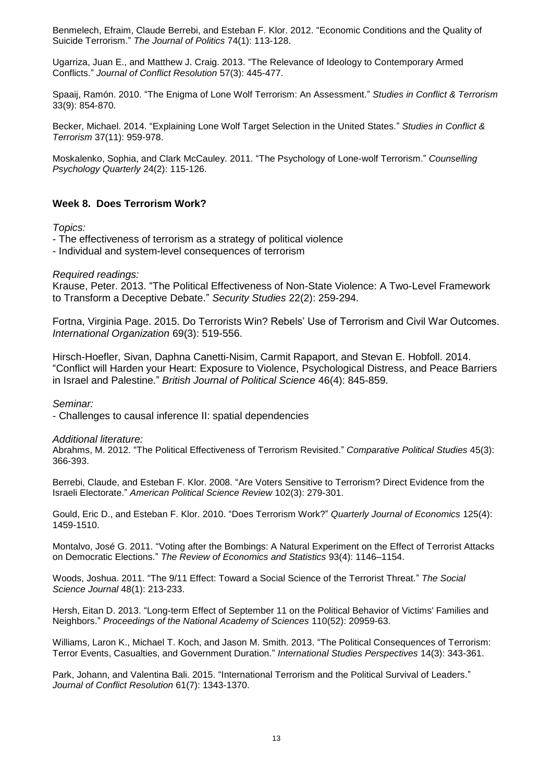Benmelech, Efraim, Claude Berrebi, and Esteban F. Klor. 2012. "Economic Conditions and the Quality of Suicide Terrorism." *The Journal of Politics* 74(1): 113-128.

Ugarriza, Juan E., and Matthew J. Craig. 2013. "The Relevance of Ideology to Contemporary Armed Conflicts." *Journal of Conflict Resolution* 57(3): 445-477.

Spaaij, Ramón. 2010. "The Enigma of Lone Wolf Terrorism: An Assessment." *Studies in Conflict & Terrorism* 33(9): 854-870.

Becker, Michael. 2014. "Explaining Lone Wolf Target Selection in the United States." *Studies in Conflict & Terrorism* 37(11): 959-978.

Moskalenko, Sophia, and Clark McCauley. 2011. "The Psychology of Lone-wolf Terrorism." *Counselling Psychology Quarterly* 24(2): 115-126.

# **Week 8. Does Terrorism Work?**

*Topics:*

- The effectiveness of terrorism as a strategy of political violence
- Individual and system-level consequences of terrorism

*Required readings:*

Krause, Peter. 2013. "The Political Effectiveness of Non-State Violence: A Two-Level Framework to Transform a Deceptive Debate." *Security Studies* 22(2): 259-294.

Fortna, Virginia Page. 2015. Do Terrorists Win? Rebels' Use of Terrorism and Civil War Outcomes. *International Organization* 69(3): 519-556.

Hirsch-Hoefler, Sivan, Daphna Canetti-Nisim, Carmit Rapaport, and Stevan E. Hobfoll. 2014. "Conflict will Harden your Heart: Exposure to Violence, Psychological Distress, and Peace Barriers in Israel and Palestine." *British Journal of Political Science* 46(4): 845-859.

*Seminar:*

- Challenges to causal inference II: spatial dependencies

*Additional literature:*

Abrahms, M. 2012. "The Political Effectiveness of Terrorism Revisited." *Comparative Political Studies* 45(3): 366-393.

Berrebi, Claude, and Esteban F. Klor. 2008. "Are Voters Sensitive to Terrorism? Direct Evidence from the Israeli Electorate." *American Political Science Review* 102(3): 279-301.

Gould, Eric D., and Esteban F. Klor. 2010. "Does Terrorism Work?" *Quarterly Journal of Economics* 125(4): 1459-1510.

Montalvo, José G. 2011. "Voting after the Bombings: A Natural Experiment on the Effect of Terrorist Attacks on Democratic Elections." *The Review of Economics and Statistics* 93(4): 1146–1154.

Woods, Joshua. 2011. "The 9/11 Effect: Toward a Social Science of the Terrorist Threat." *The Social Science Journal* 48(1): 213-233.

Hersh, Eitan D. 2013. "Long-term Effect of September 11 on the Political Behavior of Victims' Families and Neighbors." *Proceedings of the National Academy of Sciences* 110(52): 20959-63.

Williams, Laron K., Michael T. Koch, and Jason M. Smith. 2013. "The Political Consequences of Terrorism: Terror Events, Casualties, and Government Duration." *International Studies Perspectives* 14(3): 343-361.

Park, Johann, and Valentina Bali. 2015. "International Terrorism and the Political Survival of Leaders." *Journal of Conflict Resolution* 61(7): 1343-1370.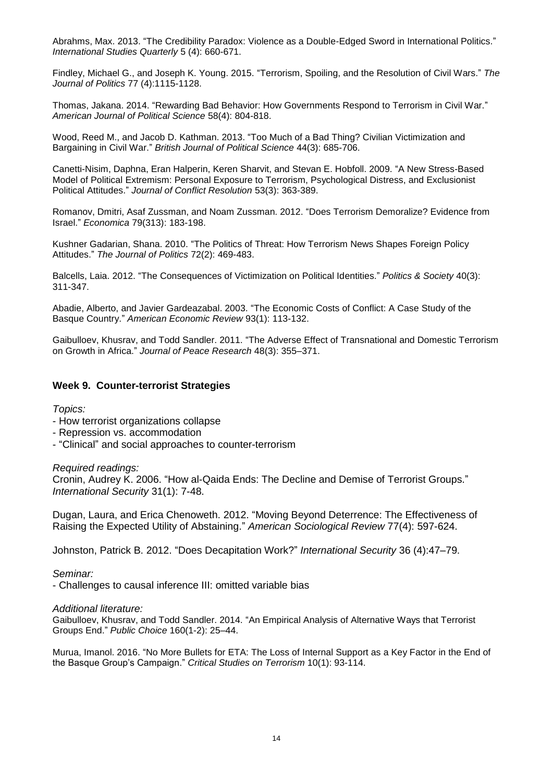Abrahms, Max. 2013. "The Credibility Paradox: Violence as a Double-Edged Sword in International Politics." *International Studies Quarterly* 5 (4): 660-671.

Findley, Michael G., and Joseph K. Young. 2015. "Terrorism, Spoiling, and the Resolution of Civil Wars." *The Journal of Politics* 77 (4):1115-1128.

Thomas, Jakana. 2014. "Rewarding Bad Behavior: How Governments Respond to Terrorism in Civil War." *American Journal of Political Science* 58(4): 804-818.

Wood, Reed M., and Jacob D. Kathman. 2013. "Too Much of a Bad Thing? Civilian Victimization and Bargaining in Civil War." *British Journal of Political Science* 44(3): 685-706.

Canetti-Nisim, Daphna, Eran Halperin, Keren Sharvit, and Stevan E. Hobfoll. 2009. "A New Stress-Based Model of Political Extremism: Personal Exposure to Terrorism, Psychological Distress, and Exclusionist Political Attitudes." *Journal of Conflict Resolution* 53(3): 363-389.

Romanov, Dmitri, Asaf Zussman, and Noam Zussman. 2012. "Does Terrorism Demoralize? Evidence from Israel." *Economica* 79(313): 183-198.

Kushner Gadarian, Shana. 2010. "The Politics of Threat: How Terrorism News Shapes Foreign Policy Attitudes." *The Journal of Politics* 72(2): 469-483.

Balcells, Laia. 2012. "The Consequences of Victimization on Political Identities." *Politics & Society* 40(3): 311-347.

Abadie, Alberto, and Javier Gardeazabal. 2003. "The Economic Costs of Conflict: A Case Study of the Basque Country." *American Economic Review* 93(1): 113-132.

Gaibulloev, Khusrav, and Todd Sandler. 2011. "The Adverse Effect of Transnational and Domestic Terrorism on Growth in Africa." *Journal of Peace Research* 48(3): 355–371.

#### **Week 9. Counter-terrorist Strategies**

*Topics:*

- How terrorist organizations collapse
- Repression vs. accommodation
- "Clinical" and social approaches to counter-terrorism

#### *Required readings:*

Cronin, Audrey K. 2006. "How al-Qaida Ends: The Decline and Demise of Terrorist Groups." *International Security* 31(1): 7-48.

Dugan, Laura, and Erica Chenoweth. 2012. "Moving Beyond Deterrence: The Effectiveness of Raising the Expected Utility of Abstaining." *American Sociological Review* 77(4): 597-624.

Johnston, Patrick B. 2012. "Does Decapitation Work?" *International Security* 36 (4):47–79.

*Seminar:*

- Challenges to causal inference III: omitted variable bias

#### *Additional literature:*

Gaibulloev, Khusrav, and Todd Sandler. 2014. "An Empirical Analysis of Alternative Ways that Terrorist Groups End." *Public Choice* 160(1-2): 25–44.

Murua, Imanol. 2016. "No More Bullets for ETA: The Loss of Internal Support as a Key Factor in the End of the Basque Group's Campaign." *Critical Studies on Terrorism* 10(1): 93-114.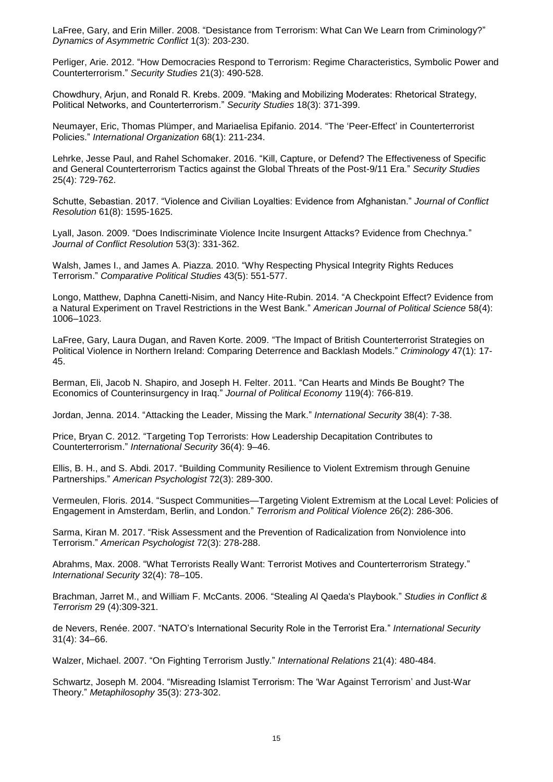LaFree, Gary, and Erin Miller. 2008. "Desistance from Terrorism: What Can We Learn from Criminology?" *Dynamics of Asymmetric Conflict* 1(3): 203-230.

Perliger, Arie. 2012. "How Democracies Respond to Terrorism: Regime Characteristics, Symbolic Power and Counterterrorism." *Security Studies* 21(3): 490-528.

Chowdhury, Arjun, and Ronald R. Krebs. 2009. "Making and Mobilizing Moderates: Rhetorical Strategy, Political Networks, and Counterterrorism." *Security Studies* 18(3): 371-399.

Neumayer, Eric, Thomas Plümper, and Mariaelisa Epifanio. 2014. "The 'Peer-Effect' in Counterterrorist Policies." *International Organization* 68(1): 211-234.

Lehrke, Jesse Paul, and Rahel Schomaker. 2016. "Kill, Capture, or Defend? The Effectiveness of Specific and General Counterterrorism Tactics against the Global Threats of the Post-9/11 Era." *Security Studies* 25(4): 729-762.

Schutte, Sebastian. 2017. "Violence and Civilian Loyalties: Evidence from Afghanistan." *Journal of Conflict Resolution* 61(8): 1595-1625.

Lyall, Jason. 2009. "Does Indiscriminate Violence Incite Insurgent Attacks? Evidence from Chechnya." *Journal of Conflict Resolution* 53(3): 331-362.

Walsh, James I., and James A. Piazza. 2010. "Why Respecting Physical Integrity Rights Reduces Terrorism." *Comparative Political Studies* 43(5): 551-577.

Longo, Matthew, Daphna Canetti-Nisim, and Nancy Hite-Rubin. 2014. "A Checkpoint Effect? Evidence from a Natural Experiment on Travel Restrictions in the West Bank." *American Journal of Political Science* 58(4): 1006–1023.

LaFree, Gary, Laura Dugan, and Raven Korte. 2009. "The Impact of British Counterterrorist Strategies on Political Violence in Northern Ireland: Comparing Deterrence and Backlash Models." *Criminology* 47(1): 17- 45.

Berman, Eli, Jacob N. Shapiro, and Joseph H. Felter. 2011. "Can Hearts and Minds Be Bought? The Economics of Counterinsurgency in Iraq." *Journal of Political Economy* 119(4): 766-819.

Jordan, Jenna. 2014. "Attacking the Leader, Missing the Mark." *International Security* 38(4): 7-38.

Price, Bryan C. 2012. "Targeting Top Terrorists: How Leadership Decapitation Contributes to Counterterrorism." *International Security* 36(4): 9–46.

Ellis, B. H., and S. Abdi. 2017. "Building Community Resilience to Violent Extremism through Genuine Partnerships." *American Psychologist* 72(3): 289-300.

Vermeulen, Floris. 2014. "Suspect Communities—Targeting Violent Extremism at the Local Level: Policies of Engagement in Amsterdam, Berlin, and London." *Terrorism and Political Violence* 26(2): 286-306.

Sarma, Kiran M. 2017. "Risk Assessment and the Prevention of Radicalization from Nonviolence into Terrorism." *American Psychologist* 72(3): 278-288.

Abrahms, Max. 2008. "What Terrorists Really Want: Terrorist Motives and Counterterrorism Strategy." *International Security* 32(4): 78–105.

Brachman, Jarret M., and William F. McCants. 2006. "Stealing Al Qaeda's Playbook." *Studies in Conflict & Terrorism* 29 (4):309-321.

de Nevers, Renée. 2007. "NATO's International Security Role in the Terrorist Era." *International Security* 31(4): 34–66.

Walzer, Michael. 2007. "On Fighting Terrorism Justly." *International Relations* 21(4): 480-484.

Schwartz, Joseph M. 2004. "Misreading Islamist Terrorism: The 'War Against Terrorism' and Just-War Theory." *Metaphilosophy* 35(3): 273-302.